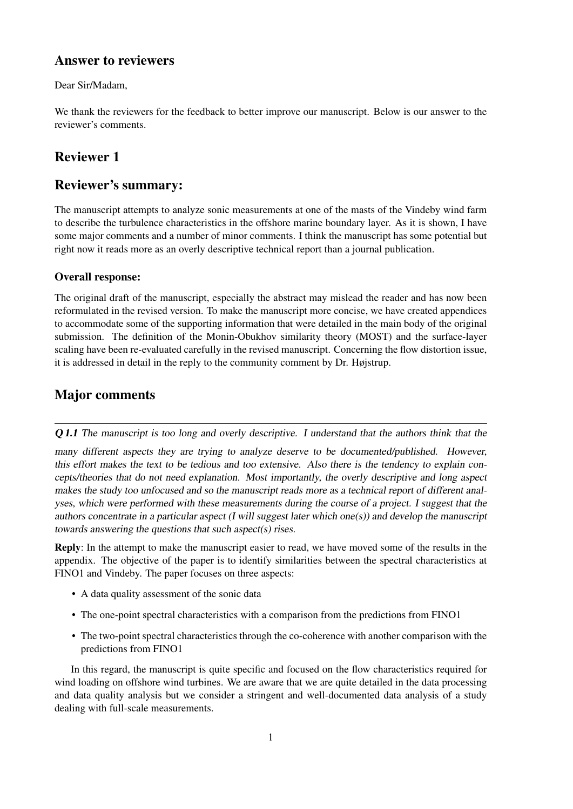# Answer to reviewers

### Dear Sir/Madam,

We thank the reviewers for the feedback to better improve our manuscript. Below is our answer to the reviewer's comments.

# Reviewer 1

# Reviewer's summary:

The manuscript attempts to analyze sonic measurements at one of the masts of the Vindeby wind farm to describe the turbulence characteristics in the offshore marine boundary layer. As it is shown, I have some major comments and a number of minor comments. I think the manuscript has some potential but right now it reads more as an overly descriptive technical report than a journal publication.

## Overall response:

The original draft of the manuscript, especially the abstract may mislead the reader and has now been reformulated in the revised version. To make the manuscript more concise, we have created appendices to accommodate some of the supporting information that were detailed in the main body of the original submission. The definition of the Monin-Obukhov similarity theory (MOST) and the surface-layer scaling have been re-evaluated carefully in the revised manuscript. Concerning the flow distortion issue, it is addressed in detail in the reply to the community comment by Dr. Højstrup.

# Major comments

Q 1.1 The manuscript is too long and overly descriptive. I understand that the authors think that the

many different aspects they are trying to analyze deserve to be documented/published. However, this effort makes the text to be tedious and too extensive. Also there is the tendency to explain concepts/theories that do not need explanation. Most importantly, the overly descriptive and long aspect makes the study too unfocused and so the manuscript reads more as a technical report of different analyses, which were performed with these measurements during the course of a project. I suggest that the authors concentrate in a particular aspect (I will suggest later which one(s)) and develop the manuscript towards answering the questions that such aspect(s) rises.

Reply: In the attempt to make the manuscript easier to read, we have moved some of the results in the appendix. The objective of the paper is to identify similarities between the spectral characteristics at FINO1 and Vindeby. The paper focuses on three aspects:

- A data quality assessment of the sonic data
- The one-point spectral characteristics with a comparison from the predictions from FINO1
- The two-point spectral characteristics through the co-coherence with another comparison with the predictions from FINO1

In this regard, the manuscript is quite specific and focused on the flow characteristics required for wind loading on offshore wind turbines. We are aware that we are quite detailed in the data processing and data quality analysis but we consider a stringent and well-documented data analysis of a study dealing with full-scale measurements.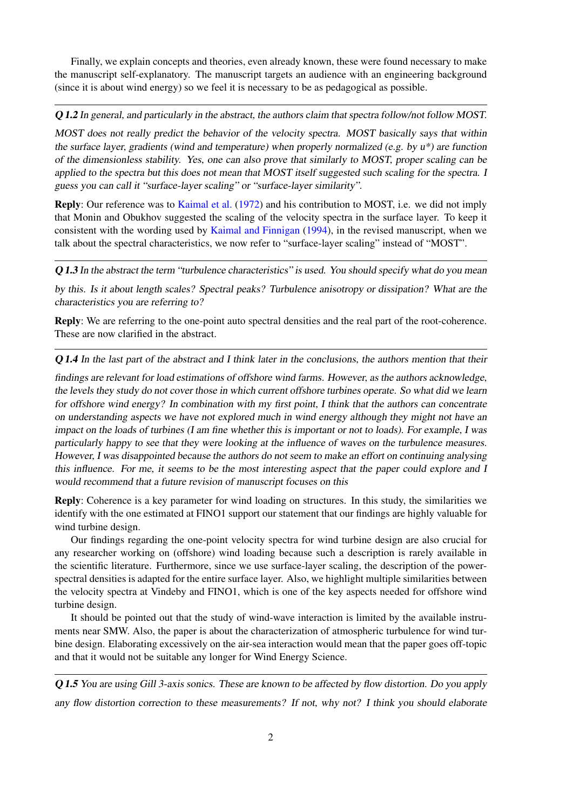Finally, we explain concepts and theories, even already known, these were found necessary to make the manuscript self-explanatory. The manuscript targets an audience with an engineering background (since it is about wind energy) so we feel it is necessary to be as pedagogical as possible.

<span id="page-1-0"></span>Q 1.2 In general, and particularly in the abstract, the authors claim that spectra follow/not follow MOST.

MOST does not really predict the behavior of the velocity spectra. MOST basically says that within the surface layer, gradients (wind and temperature) when properly normalized (e.g. by  $u^*$ ) are function of the dimensionless stability. Yes, one can also prove that similarly to MOST, proper scaling can be applied to the spectra but this does not mean that MOST itself suggested such scaling for the spectra. I guess you can call it "surface-layer scaling" or "surface-layer similarity".

Reply: Our reference was to [Kaimal et al.](#page-12-0) [\(1972\)](#page-12-0) and his contribution to MOST, i.e. we did not imply that Monin and Obukhov suggested the scaling of the velocity spectra in the surface layer. To keep it consistent with the wording used by [Kaimal and Finnigan](#page-12-1) [\(1994\)](#page-12-1), in the revised manuscript, when we talk about the spectral characteristics, we now refer to "surface-layer scaling" instead of "MOST".

Q 1.3 In the abstract the term "turbulence characteristics" is used. You should specify what do you mean

by this. Is it about length scales? Spectral peaks? Turbulence anisotropy or dissipation? What are the characteristics you are referring to?

Reply: We are referring to the one-point auto spectral densities and the real part of the root-coherence. These are now clarified in the abstract.

Q 1.4 In the last part of the abstract and I think later in the conclusions, the authors mention that their

findings are relevant for load estimations of offshore wind farms. However, as the authors acknowledge, the levels they study do not cover those in which current offshore turbines operate. So what did we learn for offshore wind energy? In combination with my first point, I think that the authors can concentrate on understanding aspects we have not explored much in wind energy although they might not have an impact on the loads of turbines (I am fine whether this is important or not to loads). For example, I was particularly happy to see that they were looking at the influence of waves on the turbulence measures. However, I was disappointed because the authors do not seem to make an effort on continuing analysing this influence. For me, it seems to be the most interesting aspect that the paper could explore and I would recommend that a future revision of manuscript focuses on this

Reply: Coherence is a key parameter for wind loading on structures. In this study, the similarities we identify with the one estimated at FINO1 support our statement that our findings are highly valuable for wind turbine design.

Our findings regarding the one-point velocity spectra for wind turbine design are also crucial for any researcher working on (offshore) wind loading because such a description is rarely available in the scientific literature. Furthermore, since we use surface-layer scaling, the description of the powerspectral densities is adapted for the entire surface layer. Also, we highlight multiple similarities between the velocity spectra at Vindeby and FINO1, which is one of the key aspects needed for offshore wind turbine design.

It should be pointed out that the study of wind-wave interaction is limited by the available instruments near SMW. Also, the paper is about the characterization of atmospheric turbulence for wind turbine design. Elaborating excessively on the air-sea interaction would mean that the paper goes off-topic and that it would not be suitable any longer for Wind Energy Science.

Q 1.5 You are using Gill 3-axis sonics. These are known to be affected by flow distortion. Do you apply any flow distortion correction to these measurements? If not, why not? I think you should elaborate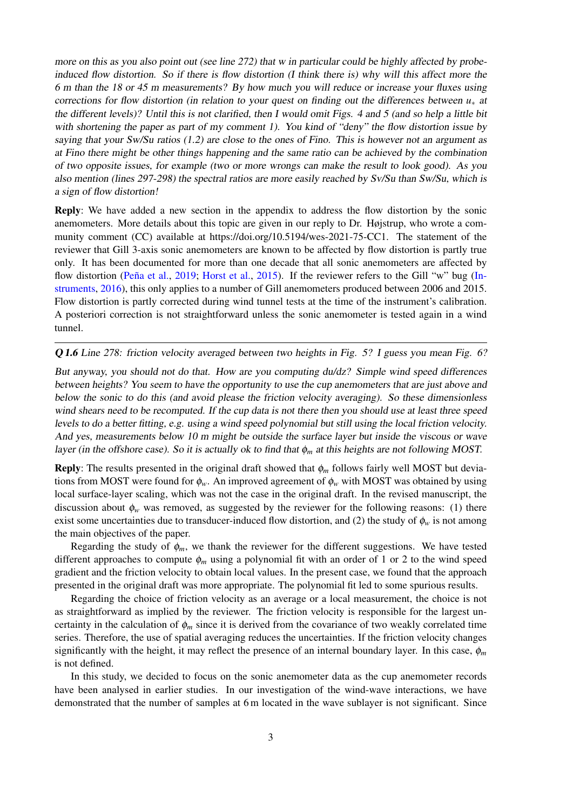more on this as you also point out (see line 272) that w in particular could be highly affected by probeinduced flow distortion. So if there is flow distortion (I think there is) why will this affect more the 6 m than the 18 or 45 m measurements? By how much you will reduce or increase your fluxes using corrections for flow distortion (in relation to your quest on finding out the differences between *u*<sup>∗</sup> at the different levels)? Until this is not clarified, then I would omit Figs. 4 and 5 (and so help a little bit with shortening the paper as part of my comment 1). You kind of "deny" the flow distortion issue by saying that your Sw/Su ratios (1.2) are close to the ones of Fino. This is however not an argument as at Fino there might be other things happening and the same ratio can be achieved by the combination of two opposite issues, for example (two or more wrongs can make the result to look good). As you also mention (lines 297-298) the spectral ratios are more easily reached by Sv/Su than Sw/Su, which is a sign of flow distortion!

Reply: We have added a new section in the appendix to address the flow distortion by the sonic anemometers. More details about this topic are given in our reply to Dr. Højstrup, who wrote a community comment (CC) available at https://doi.org/10.5194/wes-2021-75-CC1. The statement of the reviewer that Gill 3-axis sonic anemometers are known to be affected by flow distortion is partly true only. It has been documented for more than one decade that all sonic anemometers are affected by flow distortion [\(Peña et al.,](#page-12-2) [2019;](#page-12-2) [Horst et al.,](#page-12-3) [2015\)](#page-12-3). If the reviewer refers to the Gill "w" bug [\(In](#page-12-4)[struments,](#page-12-4) [2016\)](#page-12-4), this only applies to a number of Gill anemometers produced between 2006 and 2015. Flow distortion is partly corrected during wind tunnel tests at the time of the instrument's calibration. A posteriori correction is not straightforward unless the sonic anemometer is tested again in a wind tunnel.

Q 1.6 Line 278: friction velocity averaged between two heights in Fig. 5? I guess you mean Fig. 6?

But anyway, you should not do that. How are you computing du/dz? Simple wind speed differences between heights? You seem to have the opportunity to use the cup anemometers that are just above and below the sonic to do this (and avoid please the friction velocity averaging). So these dimensionless wind shears need to be recomputed. If the cup data is not there then you should use at least three speed levels to do a better fitting, e.g. using a wind speed polynomial but still using the local friction velocity. And yes, measurements below 10 m might be outside the surface layer but inside the viscous or wave layer (in the offshore case). So it is actually ok to find that φ*<sup>m</sup>* at this heights are not following MOST.

Reply: The results presented in the original draft showed that φ*<sup>m</sup>* follows fairly well MOST but deviations from MOST were found for  $\phi_w$ . An improved agreement of  $\phi_w$  with MOST was obtained by using local surface-layer scaling, which was not the case in the original draft. In the revised manuscript, the discussion about  $\phi_w$  was removed, as suggested by the reviewer for the following reasons: (1) there exist some uncertainties due to transducer-induced flow distortion, and (2) the study of  $\phi_w$  is not among the main objectives of the paper.

Regarding the study of  $\phi_m$ , we thank the reviewer for the different suggestions. We have tested different approaches to compute  $\phi_m$  using a polynomial fit with an order of 1 or 2 to the wind speed gradient and the friction velocity to obtain local values. In the present case, we found that the approach presented in the original draft was more appropriate. The polynomial fit led to some spurious results.

Regarding the choice of friction velocity as an average or a local measurement, the choice is not as straightforward as implied by the reviewer. The friction velocity is responsible for the largest uncertainty in the calculation of  $\phi_m$  since it is derived from the covariance of two weakly correlated time series. Therefore, the use of spatial averaging reduces the uncertainties. If the friction velocity changes significantly with the height, it may reflect the presence of an internal boundary layer. In this case,  $\phi_m$ is not defined.

In this study, we decided to focus on the sonic anemometer data as the cup anemometer records have been analysed in earlier studies. In our investigation of the wind-wave interactions, we have demonstrated that the number of samples at 6 m located in the wave sublayer is not significant. Since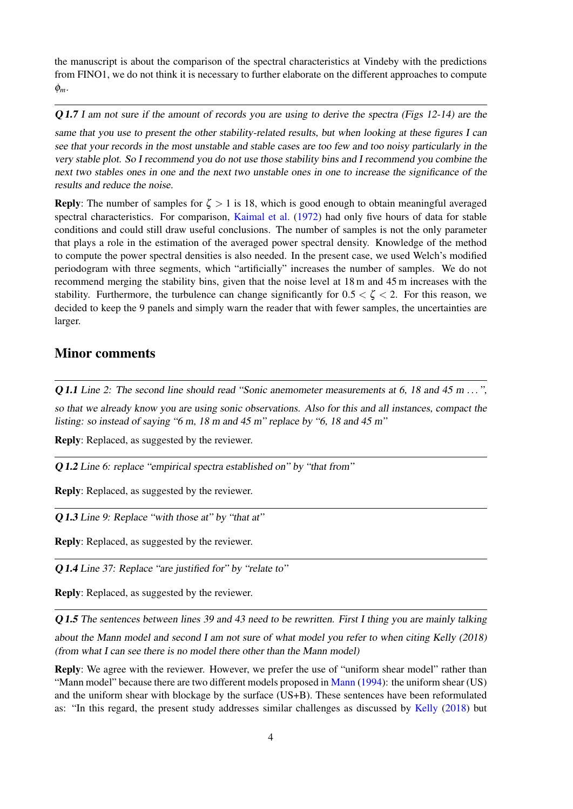the manuscript is about the comparison of the spectral characteristics at Vindeby with the predictions from FINO1, we do not think it is necessary to further elaborate on the different approaches to compute φ*m*.

Q 1.7 I am not sure if the amount of records you are using to derive the spectra (Figs 12-14) are the

same that you use to present the other stability-related results, but when looking at these figures I can see that your records in the most unstable and stable cases are too few and too noisy particularly in the very stable plot. So I recommend you do not use those stability bins and I recommend you combine the next two stables ones in one and the next two unstable ones in one to increase the significance of the results and reduce the noise.

**Reply**: The number of samples for  $\zeta > 1$  is 18, which is good enough to obtain meaningful averaged spectral characteristics. For comparison, [Kaimal et al.](#page-12-0) [\(1972\)](#page-12-0) had only five hours of data for stable conditions and could still draw useful conclusions. The number of samples is not the only parameter that plays a role in the estimation of the averaged power spectral density. Knowledge of the method to compute the power spectral densities is also needed. In the present case, we used Welch's modified periodogram with three segments, which "artificially" increases the number of samples. We do not recommend merging the stability bins, given that the noise level at 18 m and 45 m increases with the stability. Furthermore, the turbulence can change significantly for  $0.5 < \zeta < 2$ . For this reason, we decided to keep the 9 panels and simply warn the reader that with fewer samples, the uncertainties are larger.

## Minor comments

Q 1.1 Line 2: The second line should read "Sonic anemometer measurements at 6, 18 and 45 m . . . ",

so that we already know you are using sonic observations. Also for this and all instances, compact the listing: so instead of saying "6 m, 18 m and 45 m" replace by "6, 18 and 45 m"

Reply: Replaced, as suggested by the reviewer.

Q 1.2 Line 6: replace "empirical spectra established on" by "that from"

Reply: Replaced, as suggested by the reviewer.

Q 1.3 Line 9: Replace "with those at" by "that at"

Reply: Replaced, as suggested by the reviewer.

Q 1.4 Line 37: Replace "are justified for" by "relate to"

Reply: Replaced, as suggested by the reviewer.

Q 1.5 The sentences between lines 39 and 43 need to be rewritten. First I thing you are mainly talking

about the Mann model and second I am not sure of what model you refer to when citing Kelly (2018) (from what I can see there is no model there other than the Mann model)

Reply: We agree with the reviewer. However, we prefer the use of "uniform shear model" rather than "Mann model" because there are two different models proposed in [Mann](#page-12-5) [\(1994\)](#page-12-5): the uniform shear (US) and the uniform shear with blockage by the surface (US+B). These sentences have been reformulated as: "In this regard, the present study addresses similar challenges as discussed by [Kelly](#page-12-6) [\(2018\)](#page-12-6) but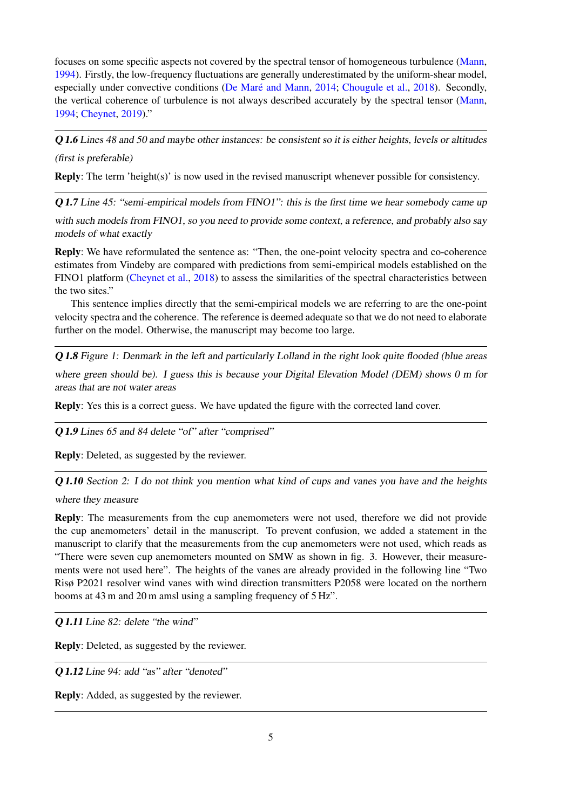focuses on some specific aspects not covered by the spectral tensor of homogeneous turbulence [\(Mann,](#page-12-5) [1994\)](#page-12-5). Firstly, the low-frequency fluctuations are generally underestimated by the uniform-shear model, especially under convective conditions [\(De Maré and Mann,](#page-12-7) [2014;](#page-12-7) [Chougule et al.,](#page-12-8) [2018\)](#page-12-8). Secondly, the vertical coherence of turbulence is not always described accurately by the spectral tensor [\(Mann,](#page-12-5) [1994;](#page-12-5) [Cheynet,](#page-12-9) [2019\)](#page-12-9)."

Q 1.6 Lines 48 and 50 and maybe other instances: be consistent so it is either heights, levels or altitudes (first is preferable)

Reply: The term 'height(s)' is now used in the revised manuscript whenever possible for consistency.

Q 1.7 Line 45: "semi-empirical models from FINO1": this is the first time we hear somebody came up

with such models from FINO1, so you need to provide some context, a reference, and probably also say models of what exactly

Reply: We have reformulated the sentence as: "Then, the one-point velocity spectra and co-coherence estimates from Vindeby are compared with predictions from semi-empirical models established on the FINO1 platform [\(Cheynet et al.,](#page-12-10) [2018\)](#page-12-10) to assess the similarities of the spectral characteristics between the two sites."

This sentence implies directly that the semi-empirical models we are referring to are the one-point velocity spectra and the coherence. The reference is deemed adequate so that we do not need to elaborate further on the model. Otherwise, the manuscript may become too large.

Q 1.8 Figure 1: Denmark in the left and particularly Lolland in the right look quite flooded (blue areas where green should be). I guess this is because your Digital Elevation Model (DEM) shows 0 m for areas that are not water areas

Reply: Yes this is a correct guess. We have updated the figure with the corrected land cover.

Q 1.9 Lines 65 and 84 delete "of" after "comprised"

Reply: Deleted, as suggested by the reviewer.

Q 1.10 Section 2: I do not think you mention what kind of cups and vanes you have and the heights

where they measure

Reply: The measurements from the cup anemometers were not used, therefore we did not provide the cup anemometers' detail in the manuscript. To prevent confusion, we added a statement in the manuscript to clarify that the measurements from the cup anemometers were not used, which reads as "There were seven cup anemometers mounted on SMW as shown in fig. 3. However, their measurements were not used here". The heights of the vanes are already provided in the following line "Two Risø P2021 resolver wind vanes with wind direction transmitters P2058 were located on the northern booms at 43 m and 20 m amsl using a sampling frequency of 5 Hz".

Q 1.11 Line 82: delete "the wind"

Reply: Deleted, as suggested by the reviewer.

Q 1.12 Line 94: add "as" after "denoted"

Reply: Added, as suggested by the reviewer.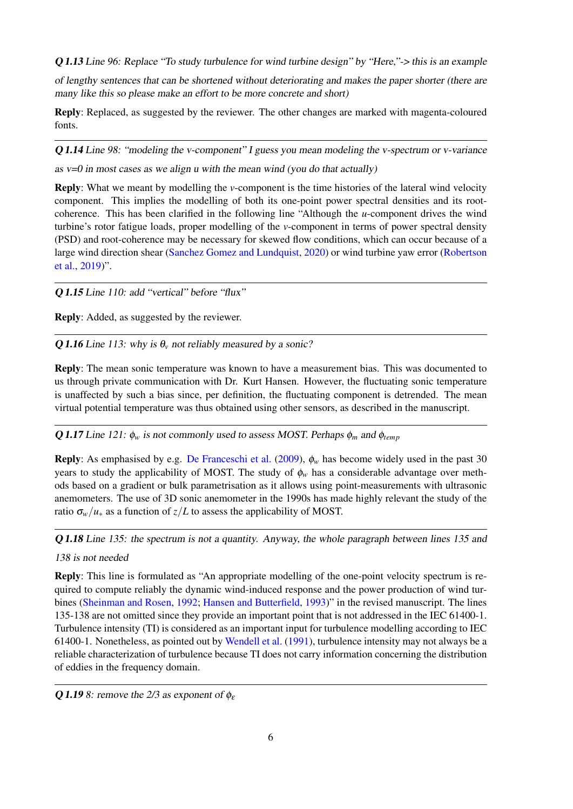Q 1.13 Line 96: Replace "To study turbulence for wind turbine design" by "Here,"-> this is an example

of lengthy sentences that can be shortened without deteriorating and makes the paper shorter (there are many like this so please make an effort to be more concrete and short)

Reply: Replaced, as suggested by the reviewer. The other changes are marked with magenta-coloured fonts.

Q 1.14 Line 98: "modeling the v-component" I guess you mean modeling the v-spectrum or v-variance as  $v=0$  in most cases as we align u with the mean wind (you do that actually)

Reply: What we meant by modelling the *v*-component is the time histories of the lateral wind velocity component. This implies the modelling of both its one-point power spectral densities and its rootcoherence. This has been clarified in the following line "Although the *u*-component drives the wind turbine's rotor fatigue loads, proper modelling of the *v*-component in terms of power spectral density (PSD) and root-coherence may be necessary for skewed flow conditions, which can occur because of a large wind direction shear [\(Sanchez Gomez and Lundquist,](#page-13-0) [2020\)](#page-13-0) or wind turbine yaw error [\(Robertson](#page-13-1) [et al.,](#page-13-1) [2019\)](#page-13-1)".

Q 1.15 Line 110: add "vertical" before "flux"

Reply: Added, as suggested by the reviewer.

**Q 1.16** Line 113: why is  $\theta$ <sup>v</sup> not reliably measured by a sonic?

Reply: The mean sonic temperature was known to have a measurement bias. This was documented to us through private communication with Dr. Kurt Hansen. However, the fluctuating sonic temperature is unaffected by such a bias since, per definition, the fluctuating component is detrended. The mean virtual potential temperature was thus obtained using other sensors, as described in the manuscript.

#### **Q 1.17** Line 121:  $\phi_w$  is not commonly used to assess MOST. Perhaps  $\phi_m$  and  $\phi_{temp}$

**Reply**: As emphasised by e.g. [De Franceschi et al.](#page-12-11) [\(2009\)](#page-12-11),  $\phi_w$  has become widely used in the past 30 years to study the applicability of MOST. The study of  $\phi_w$  has a considerable advantage over methods based on a gradient or bulk parametrisation as it allows using point-measurements with ultrasonic anemometers. The use of 3D sonic anemometer in the 1990s has made highly relevant the study of the ratio  $\sigma_w/u_*$  as a function of *z*/*L* to assess the applicability of MOST.

Q 1.18 Line 135: the spectrum is not a quantity. Anyway, the whole paragraph between lines 135 and

### 138 is not needed

Reply: This line is formulated as "An appropriate modelling of the one-point velocity spectrum is required to compute reliably the dynamic wind-induced response and the power production of wind turbines [\(Sheinman and Rosen,](#page-13-2) [1992;](#page-13-2) [Hansen and Butterfield,](#page-12-12) [1993\)](#page-12-12)" in the revised manuscript. The lines 135-138 are not omitted since they provide an important point that is not addressed in the IEC 61400-1. Turbulence intensity (TI) is considered as an important input for turbulence modelling according to IEC 61400-1. Nonetheless, as pointed out by [Wendell et al.](#page-13-3) [\(1991\)](#page-13-3), turbulence intensity may not always be a reliable characterization of turbulence because TI does not carry information concerning the distribution of eddies in the frequency domain.

<span id="page-5-0"></span>Q 1.19 8: remove the 2/3 as exponent of  $\phi_{\varepsilon}$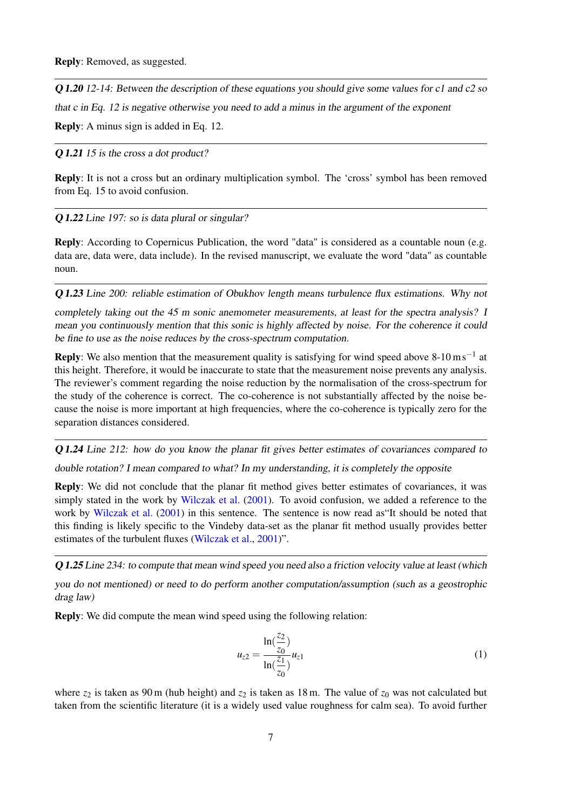Q 1.20 12-14: Between the description of these equations you should give some values for c1 and c2 so

that c in Eq. 12 is negative otherwise you need to add a minus in the argument of the exponent

Reply: A minus sign is added in Eq. 12.

#### Q 1.21 15 is the cross a dot product?

Reply: It is not a cross but an ordinary multiplication symbol. The 'cross' symbol has been removed from Eq. 15 to avoid confusion.

#### Q 1.22 Line 197: so is data plural or singular?

Reply: According to Copernicus Publication, the word "data" is considered as a countable noun (e.g. data are, data were, data include). In the revised manuscript, we evaluate the word "data" as countable noun.

Q 1.23 Line 200: reliable estimation of Obukhov length means turbulence flux estimations. Why not

completely taking out the 45 m sonic anemometer measurements, at least for the spectra analysis? I mean you continuously mention that this sonic is highly affected by noise. For the coherence it could be fine to use as the noise reduces by the cross-spectrum computation.

**Reply**: We also mention that the measurement quality is satisfying for wind speed above 8-10 m s<sup>-1</sup> at this height. Therefore, it would be inaccurate to state that the measurement noise prevents any analysis. The reviewer's comment regarding the noise reduction by the normalisation of the cross-spectrum for the study of the coherence is correct. The co-coherence is not substantially affected by the noise because the noise is more important at high frequencies, where the co-coherence is typically zero for the separation distances considered.

Q 1.24 Line 212: how do you know the planar fit gives better estimates of covariances compared to double rotation? I mean compared to what? In my understanding, it is completely the opposite

Reply: We did not conclude that the planar fit method gives better estimates of covariances, it was simply stated in the work by [Wilczak et al.](#page-13-4) [\(2001\)](#page-13-4). To avoid confusion, we added a reference to the work by [Wilczak et al.](#page-13-4) [\(2001\)](#page-13-4) in this sentence. The sentence is now read as "It should be noted that this finding is likely specific to the Vindeby data-set as the planar fit method usually provides better estimates of the turbulent fluxes [\(Wilczak et al.,](#page-13-4) [2001\)](#page-13-4)".

Q 1.25 Line 234: to compute that mean wind speed you need also a friction velocity value at least (which

you do not mentioned) or need to do perform another computation/assumption (such as a geostrophic drag law)

Reply: We did compute the mean wind speed using the following relation:

$$
u_{z2} = \frac{\ln(\frac{z_2}{z_0})}{\ln(\frac{z_1}{z_0})} u_{z1}
$$
 (1)

where  $z_2$  is taken as 90 m (hub height) and  $z_2$  is taken as 18 m. The value of  $z_0$  was not calculated but taken from the scientific literature (it is a widely used value roughness for calm sea). To avoid further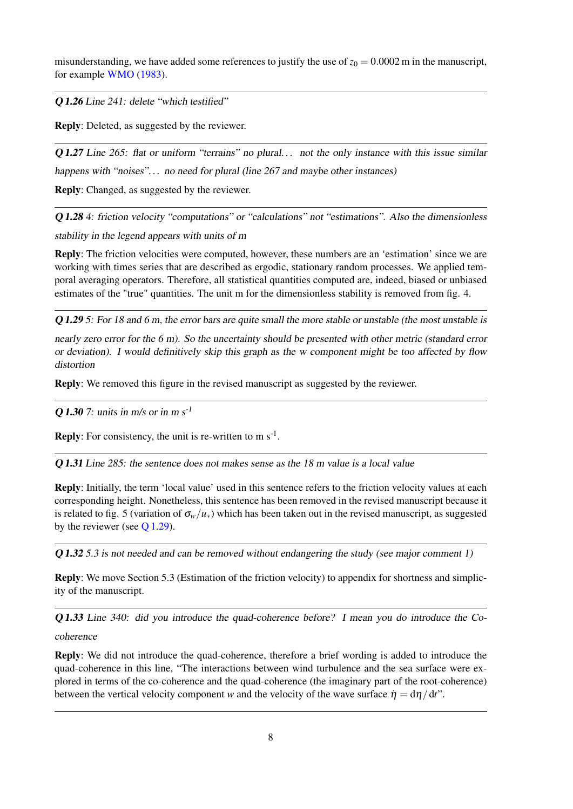misunderstanding, we have added some references to justify the use of  $z_0 = 0.0002$  m in the manuscript, for example [WMO](#page-13-5) [\(1983\)](#page-13-5).

Q 1.26 Line 241: delete "which testified"

Reply: Deleted, as suggested by the reviewer.

Q 1.27 Line 265: flat or uniform "terrains" no plural... not the only instance with this issue similar happens with "noises"... no need for plural (line 267 and maybe other instances)

Reply: Changed, as suggested by the reviewer.

Q 1.28 4: friction velocity "computations" or "calculations" not "estimations". Also the dimensionless

stability in the legend appears with units of m

Reply: The friction velocities were computed, however, these numbers are an 'estimation' since we are working with times series that are described as ergodic, stationary random processes. We applied temporal averaging operators. Therefore, all statistical quantities computed are, indeed, biased or unbiased estimates of the "true" quantities. The unit m for the dimensionless stability is removed from fig. 4.

<span id="page-7-0"></span>Q 1.29 5: For 18 and 6 m, the error bars are quite small the more stable or unstable (the most unstable is

nearly zero error for the 6 m). So the uncertainty should be presented with other metric (standard error or deviation). I would definitively skip this graph as the w component might be too affected by flow distortion

Reply: We removed this figure in the revised manuscript as suggested by the reviewer.

Q 1.30 7: units in m/s or in m  $s^{-1}$ 

**Reply**: For consistency, the unit is re-written to m  $s^{-1}$ .

Q 1.31 Line 285: the sentence does not makes sense as the 18 m value is a local value

Reply: Initially, the term 'local value' used in this sentence refers to the friction velocity values at each corresponding height. Nonetheless, this sentence has been removed in the revised manuscript because it is related to fig. 5 (variation of  $\sigma_w/u_*$ ) which has been taken out in the revised manuscript, as suggested by the reviewer (see [Q 1.29\)](#page-7-0).

Q 1.32 5.3 is not needed and can be removed without endangering the study (see major comment 1)

Reply: We move Section 5.3 (Estimation of the friction velocity) to appendix for shortness and simplicity of the manuscript.

Q 1.33 Line 340: did you introduce the quad-coherence before? I mean you do introduce the Cocoherence

Reply: We did not introduce the quad-coherence, therefore a brief wording is added to introduce the quad-coherence in this line, "The interactions between wind turbulence and the sea surface were explored in terms of the co-coherence and the quad-coherence (the imaginary part of the root-coherence) between the vertical velocity component *w* and the velocity of the wave surface  $\dot{\eta} = d\eta/dt$ ".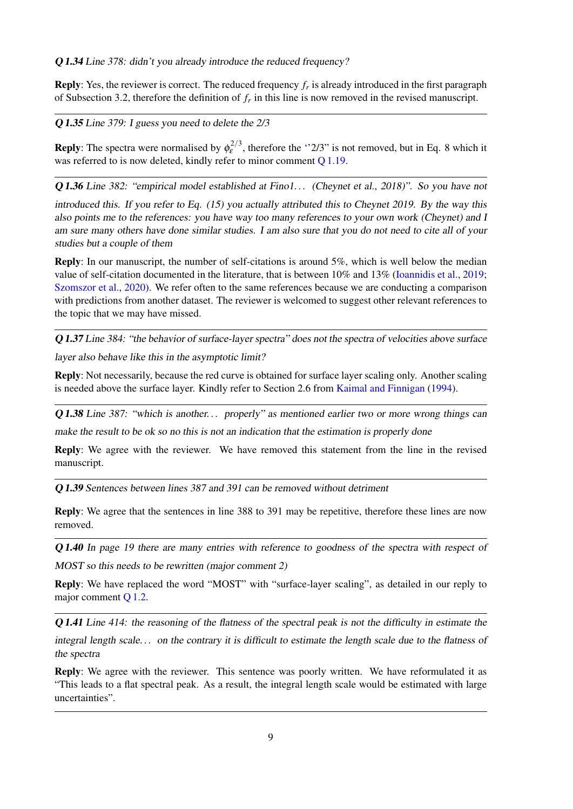#### Q 1.34 Line 378: didn't you already introduce the reduced frequency?

Reply: Yes, the reviewer is correct. The reduced frequency *f<sup>r</sup>* is already introduced in the first paragraph of Subsection 3.2, therefore the definition of *f<sup>r</sup>* in this line is now removed in the revised manuscript.

### Q 1.35 Line 379: I guess you need to delete the 2/3

**Reply**: The spectra were normalised by  $\phi_{\varepsilon}^{2/3}$  $\epsilon^{2/3}$ , therefore the "2/3" is not removed, but in Eq. 8 which it was referred to is now deleted, kindly refer to minor comment [Q 1.19.](#page-5-0)

Q 1.36 Line 382: "empirical model established at Fino1. . . (Cheynet et al., 2018)". So you have not

introduced this. If you refer to Eq. (15) you actually attributed this to Cheynet 2019. By the way this also points me to the references: you have way too many references to your own work (Cheynet) and I am sure many others have done similar studies. I am also sure that you do not need to cite all of your studies but a couple of them

Reply: In our manuscript, the number of self-citations is around 5%, which is well below the median value of self-citation documented in the literature, that is between 10% and 13% [\(Ioannidis et al.,](#page-12-13) [2019;](#page-12-13) [Szomszor et al.,](#page-13-6) [2020\)](#page-13-6). We refer often to the same references because we are conducting a comparison with predictions from another dataset. The reviewer is welcomed to suggest other relevant references to the topic that we may have missed.

Q 1.37 Line 384: "the behavior of surface-layer spectra" does not the spectra of velocities above surface layer also behave like this in the asymptotic limit?

Reply: Not necessarily, because the red curve is obtained for surface layer scaling only. Another scaling is needed above the surface layer. Kindly refer to Section 2.6 from [Kaimal and Finnigan](#page-12-1) [\(1994\)](#page-12-1).

Q 1.38 Line 387: "which is another. . . properly" as mentioned earlier two or more wrong things can make the result to be ok so no this is not an indication that the estimation is properly done

Reply: We agree with the reviewer. We have removed this statement from the line in the revised manuscript.

Q 1.39 Sentences between lines 387 and 391 can be removed without detriment

Reply: We agree that the sentences in line 388 to 391 may be repetitive, therefore these lines are now removed.

Q 1.40 In page 19 there are many entries with reference to goodness of the spectra with respect of MOST so this needs to be rewritten (major comment 2)

Reply: We have replaced the word "MOST" with "surface-layer scaling", as detailed in our reply to major comment [Q 1.2.](#page-1-0)

Q 1.41 Line 414: the reasoning of the flatness of the spectral peak is not the difficulty in estimate the

integral length scale. . . on the contrary it is difficult to estimate the length scale due to the flatness of the spectra

Reply: We agree with the reviewer. This sentence was poorly written. We have reformulated it as "This leads to a flat spectral peak. As a result, the integral length scale would be estimated with large uncertainties".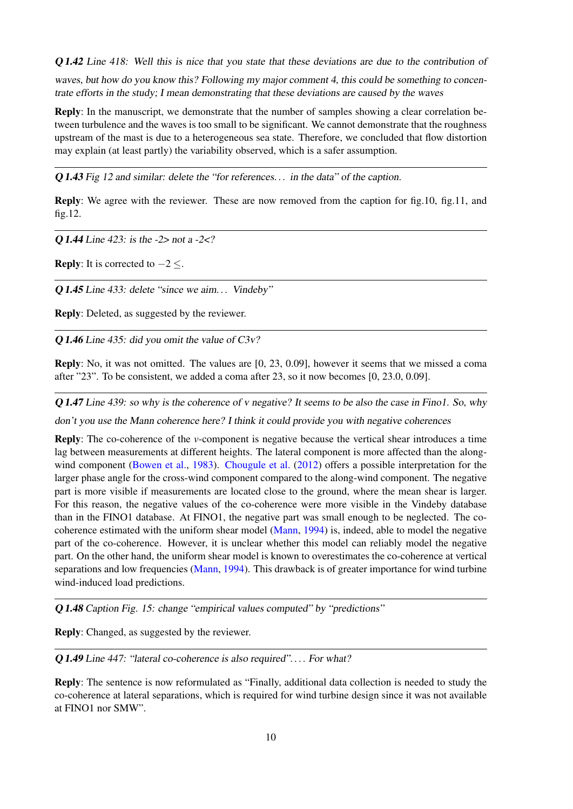Q 1.42 Line 418: Well this is nice that you state that these deviations are due to the contribution of

waves, but how do you know this? Following my major comment 4, this could be something to concentrate efforts in the study; I mean demonstrating that these deviations are caused by the waves

Reply: In the manuscript, we demonstrate that the number of samples showing a clear correlation between turbulence and the waves is too small to be significant. We cannot demonstrate that the roughness upstream of the mast is due to a heterogeneous sea state. Therefore, we concluded that flow distortion may explain (at least partly) the variability observed, which is a safer assumption.

Q 1.43 Fig 12 and similar: delete the "for references. . . in the data" of the caption.

Reply: We agree with the reviewer. These are now removed from the caption for fig.10, fig.11, and fig.12.

Q 1.44 Line 423: is the -2> not a -2<?

**Reply:** It is corrected to  $-2 \leq$ .

Q 1.45 Line 433: delete "since we aim. . . Vindeby"

Reply: Deleted, as suggested by the reviewer.

Q 1.46 Line 435: did you omit the value of C3v?

Reply: No, it was not omitted. The values are [0, 23, 0.09], however it seems that we missed a coma after "23". To be consistent, we added a coma after 23, so it now becomes [0, 23.0, 0.09].

Q 1.47 Line 439: so why is the coherence of v negative? It seems to be also the case in Fino1. So, why

don't you use the Mann coherence here? I think it could provide you with negative coherences

Reply: The co-coherence of the *v*-component is negative because the vertical shear introduces a time lag between measurements at different heights. The lateral component is more affected than the alongwind component [\(Bowen et al.,](#page-12-14) [1983\)](#page-12-14). [Chougule et al.](#page-12-15) [\(2012\)](#page-12-15) offers a possible interpretation for the larger phase angle for the cross-wind component compared to the along-wind component. The negative part is more visible if measurements are located close to the ground, where the mean shear is larger. For this reason, the negative values of the co-coherence were more visible in the Vindeby database than in the FINO1 database. At FINO1, the negative part was small enough to be neglected. The cocoherence estimated with the uniform shear model [\(Mann,](#page-12-5) [1994\)](#page-12-5) is, indeed, able to model the negative part of the co-coherence. However, it is unclear whether this model can reliably model the negative part. On the other hand, the uniform shear model is known to overestimates the co-coherence at vertical separations and low frequencies [\(Mann,](#page-12-5) [1994\)](#page-12-5). This drawback is of greater importance for wind turbine wind-induced load predictions.

Q 1.48 Caption Fig. 15: change "empirical values computed" by "predictions"

<span id="page-9-0"></span>Reply: Changed, as suggested by the reviewer.

Q 1.49 Line 447: "lateral co-coherence is also required".... For what?

Reply: The sentence is now reformulated as "Finally, additional data collection is needed to study the co-coherence at lateral separations, which is required for wind turbine design since it was not available at FINO1 nor SMW".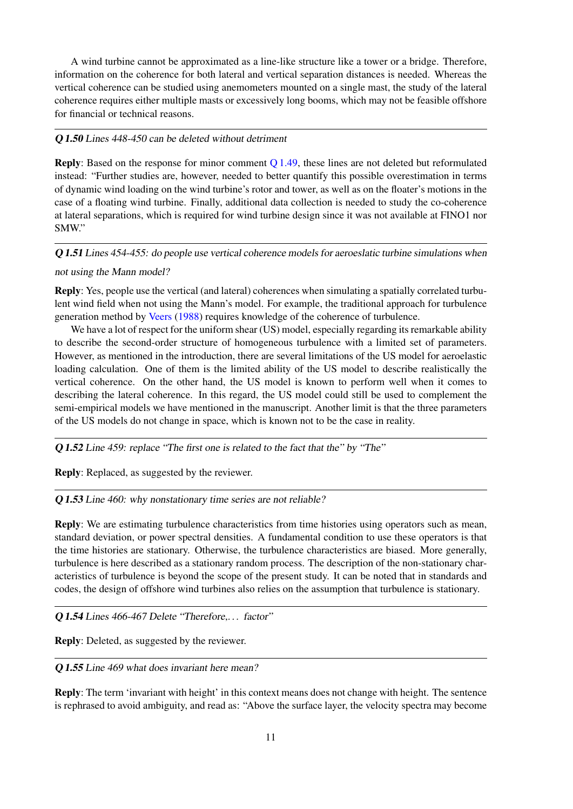A wind turbine cannot be approximated as a line-like structure like a tower or a bridge. Therefore, information on the coherence for both lateral and vertical separation distances is needed. Whereas the vertical coherence can be studied using anemometers mounted on a single mast, the study of the lateral coherence requires either multiple masts or excessively long booms, which may not be feasible offshore for financial or technical reasons.

#### Q 1.50 Lines 448-450 can be deleted without detriment

Reply: Based on the response for minor comment [Q 1.49,](#page-9-0) these lines are not deleted but reformulated instead: "Further studies are, however, needed to better quantify this possible overestimation in terms of dynamic wind loading on the wind turbine's rotor and tower, as well as on the floater's motions in the case of a floating wind turbine. Finally, additional data collection is needed to study the co-coherence at lateral separations, which is required for wind turbine design since it was not available at FINO1 nor SMW."

Q 1.51 Lines 454-455: do people use vertical coherence models for aeroeslatic turbine simulations when

#### not using the Mann model?

Reply: Yes, people use the vertical (and lateral) coherences when simulating a spatially correlated turbulent wind field when not using the Mann's model. For example, the traditional approach for turbulence generation method by [Veers](#page-13-7) [\(1988\)](#page-13-7) requires knowledge of the coherence of turbulence.

We have a lot of respect for the uniform shear (US) model, especially regarding its remarkable ability to describe the second-order structure of homogeneous turbulence with a limited set of parameters. However, as mentioned in the introduction, there are several limitations of the US model for aeroelastic loading calculation. One of them is the limited ability of the US model to describe realistically the vertical coherence. On the other hand, the US model is known to perform well when it comes to describing the lateral coherence. In this regard, the US model could still be used to complement the semi-empirical models we have mentioned in the manuscript. Another limit is that the three parameters of the US models do not change in space, which is known not to be the case in reality.

Q 1.52 Line 459: replace "The first one is related to the fact that the" by "The"

Reply: Replaced, as suggested by the reviewer.

Q 1.53 Line 460: why nonstationary time series are not reliable?

Reply: We are estimating turbulence characteristics from time histories using operators such as mean, standard deviation, or power spectral densities. A fundamental condition to use these operators is that the time histories are stationary. Otherwise, the turbulence characteristics are biased. More generally, turbulence is here described as a stationary random process. The description of the non-stationary characteristics of turbulence is beyond the scope of the present study. It can be noted that in standards and codes, the design of offshore wind turbines also relies on the assumption that turbulence is stationary.

Q 1.54 Lines 466-467 Delete "Therefore,. . . factor"

Reply: Deleted, as suggested by the reviewer.

Q 1.55 Line 469 what does invariant here mean?

Reply: The term 'invariant with height' in this context means does not change with height. The sentence is rephrased to avoid ambiguity, and read as: "Above the surface layer, the velocity spectra may become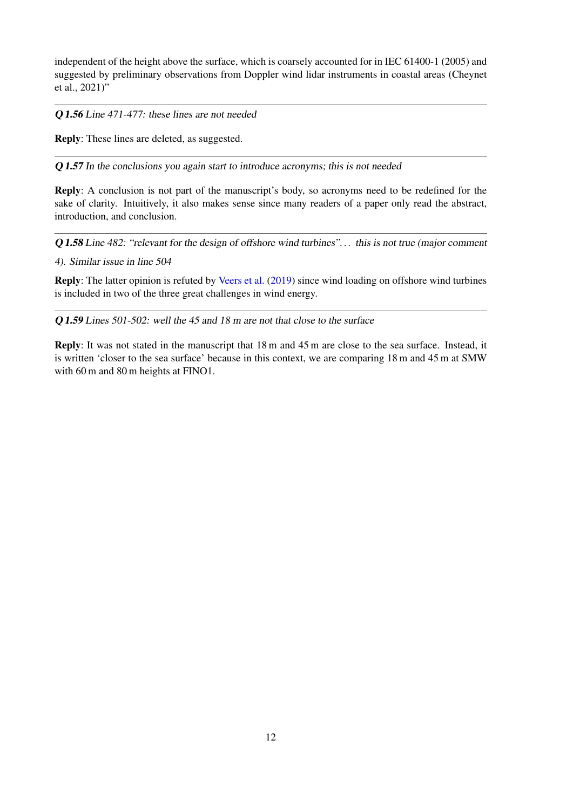independent of the height above the surface, which is coarsely accounted for in IEC 61400-1 (2005) and suggested by preliminary observations from Doppler wind lidar instruments in coastal areas (Cheynet et al., 2021)"

Q 1.56 Line 471-477: these lines are not needed

Reply: These lines are deleted, as suggested.

Q 1.57 In the conclusions you again start to introduce acronyms; this is not needed

Reply: A conclusion is not part of the manuscript's body, so acronyms need to be redefined for the sake of clarity. Intuitively, it also makes sense since many readers of a paper only read the abstract, introduction, and conclusion.

Q 1.58 Line 482: "relevant for the design of offshore wind turbines"... this is not true (major comment

4). Similar issue in line 504

Reply: The latter opinion is refuted by [Veers et al.](#page-13-8) [\(2019\)](#page-13-8) since wind loading on offshore wind turbines is included in two of the three great challenges in wind energy.

Q 1.59 Lines 501-502: well the 45 and 18 m are not that close to the surface

Reply: It was not stated in the manuscript that 18 m and 45 m are close to the sea surface. Instead, it is written 'closer to the sea surface' because in this context, we are comparing 18 m and 45 m at SMW with 60 m and 80 m heights at FINO1.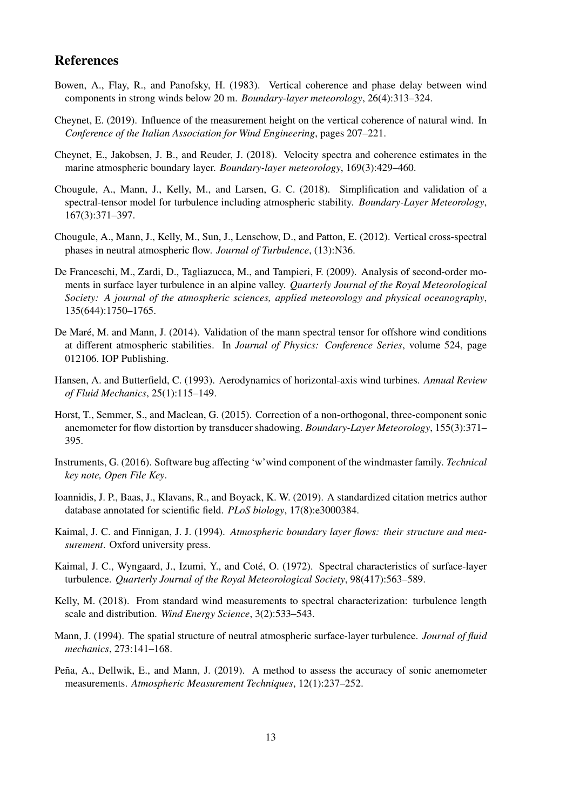## References

- <span id="page-12-14"></span>Bowen, A., Flay, R., and Panofsky, H. (1983). Vertical coherence and phase delay between wind components in strong winds below 20 m. *Boundary-layer meteorology*, 26(4):313–324.
- <span id="page-12-9"></span>Cheynet, E. (2019). Influence of the measurement height on the vertical coherence of natural wind. In *Conference of the Italian Association for Wind Engineering*, pages 207–221.
- <span id="page-12-10"></span>Cheynet, E., Jakobsen, J. B., and Reuder, J. (2018). Velocity spectra and coherence estimates in the marine atmospheric boundary layer. *Boundary-layer meteorology*, 169(3):429–460.
- <span id="page-12-8"></span>Chougule, A., Mann, J., Kelly, M., and Larsen, G. C. (2018). Simplification and validation of a spectral-tensor model for turbulence including atmospheric stability. *Boundary-Layer Meteorology*, 167(3):371–397.
- <span id="page-12-15"></span>Chougule, A., Mann, J., Kelly, M., Sun, J., Lenschow, D., and Patton, E. (2012). Vertical cross-spectral phases in neutral atmospheric flow. *Journal of Turbulence*, (13):N36.
- <span id="page-12-11"></span>De Franceschi, M., Zardi, D., Tagliazucca, M., and Tampieri, F. (2009). Analysis of second-order moments in surface layer turbulence in an alpine valley. *Quarterly Journal of the Royal Meteorological Society: A journal of the atmospheric sciences, applied meteorology and physical oceanography*, 135(644):1750–1765.
- <span id="page-12-7"></span>De Maré, M. and Mann, J. (2014). Validation of the mann spectral tensor for offshore wind conditions at different atmospheric stabilities. In *Journal of Physics: Conference Series*, volume 524, page 012106. IOP Publishing.
- <span id="page-12-12"></span>Hansen, A. and Butterfield, C. (1993). Aerodynamics of horizontal-axis wind turbines. *Annual Review of Fluid Mechanics*, 25(1):115–149.
- <span id="page-12-3"></span>Horst, T., Semmer, S., and Maclean, G. (2015). Correction of a non-orthogonal, three-component sonic anemometer for flow distortion by transducer shadowing. *Boundary-Layer Meteorology*, 155(3):371– 395.
- <span id="page-12-4"></span>Instruments, G. (2016). Software bug affecting 'w'wind component of the windmaster family. *Technical key note, Open File Key*.
- <span id="page-12-13"></span>Ioannidis, J. P., Baas, J., Klavans, R., and Boyack, K. W. (2019). A standardized citation metrics author database annotated for scientific field. *PLoS biology*, 17(8):e3000384.
- <span id="page-12-1"></span>Kaimal, J. C. and Finnigan, J. J. (1994). *Atmospheric boundary layer flows: their structure and measurement*. Oxford university press.
- <span id="page-12-0"></span>Kaimal, J. C., Wyngaard, J., Izumi, Y., and Coté, O. (1972). Spectral characteristics of surface-layer turbulence. *Quarterly Journal of the Royal Meteorological Society*, 98(417):563–589.
- <span id="page-12-6"></span>Kelly, M. (2018). From standard wind measurements to spectral characterization: turbulence length scale and distribution. *Wind Energy Science*, 3(2):533–543.
- <span id="page-12-5"></span>Mann, J. (1994). The spatial structure of neutral atmospheric surface-layer turbulence. *Journal of fluid mechanics*, 273:141–168.
- <span id="page-12-2"></span>Peña, A., Dellwik, E., and Mann, J. (2019). A method to assess the accuracy of sonic anemometer measurements. *Atmospheric Measurement Techniques*, 12(1):237–252.